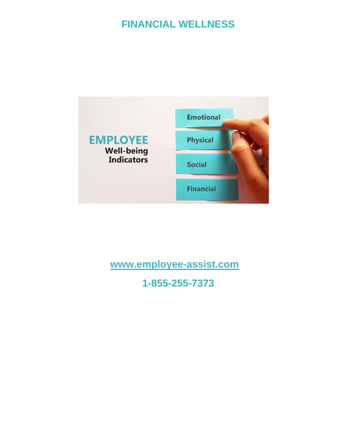## **FINANCIAL WELLNESS**



## **[www.employee-assist.com](http://www.employee-assist.com/)**

**1-855-255-7373**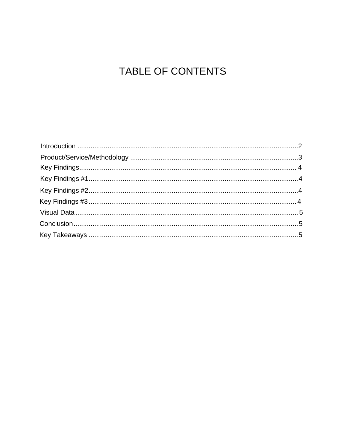# TABLE OF CONTENTS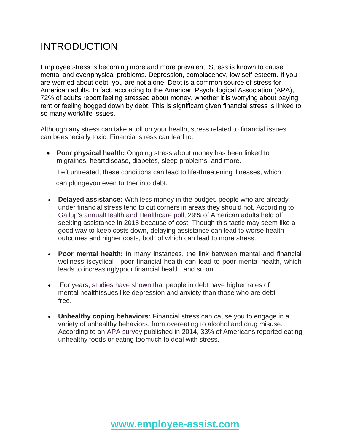## <span id="page-2-0"></span>INTRODUCTION

Employee stress is becoming more and more prevalent. Stress is known to cause mental and evenphysical problems. Depression, complacency, low self-esteem. If you are worried about debt, you are not alone. Debt is a common source of stress for American adults. In fact, according to the American Psychological Association (APA), 72% of adults report feeling stressed about money, whether it is worrying about paying rent or feeling bogged down by debt. This is significant given financial stress is linked to so many work/life issues.

Although any stress can take a toll on your health, stress related to financial issues can beespecially toxic. Financial stress can lead to:

• **Poor physical health:** Ongoing stress about money has been linked to migraines, heartdisease, diabetes, sleep problems, and more.

Left untreated, these conditions can lead to life-threatening illnesses, which can plungeyou even further into debt.

- **Delayed assistance:** With less money in the budget, people who are already under financial stress tend to cut corners in areas they should not. According to Gallup's annualHealth and Healthcare poll, 29% of American adults held off seeking assistance in 2018 because of cost. Though this tactic may seem like a good way to keep costs down, delaying assistance can lead to worse health outcomes and higher costs, both of which can lead to more stress.
- **Poor mental health:** In many instances, the link between mental and financial wellness iscyclical—poor financial health can lead to poor mental health, which leads to increasinglypoor financial health, and so on.
- For years, studies have shown that people in debt have higher rates of mental healthissues like depression and anxiety than those who are debtfree.
- **Unhealthy coping behaviors:** Financial stress can cause you to engage in a variety of unhealthy behaviors, from overeating to alcohol and drug misuse. According to an [APA](https://www.apa.org/news/press/releases/stress/2014/stress-report.pdf) [survey](https://www.apa.org/news/press/releases/stress/2014/stress-report.pdf) published in 2014, 33% of Americans reported eating unhealthy foods or eating toomuch to deal with stress.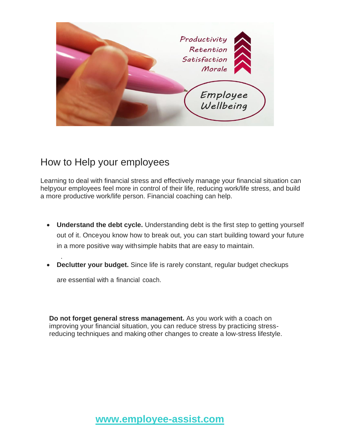

### How to Help your employees

Learning to deal with financial stress and effectively manage your financial situation can helpyour employees feel more in control of their life, reducing work/life stress, and build a more productive work/life person. Financial coaching can help.

- **Understand the debt cycle.** Understanding debt is the first step to getting yourself out of it. Onceyou know how to break out, you can start building toward your future in a more positive way withsimple habits that are easy to maintain.
- improving your financial health. Take control of your finances by setting aside some time to talk • **Declutter your budget.** Since life is rarely constant, regular budget checkups

are essential with a financial coach.

.

**Do not forget general stress management.** As you work with a coach on improving your financial situation, you can reduce stress by practicing stressreducing techniques and making other changes to create a low-stress lifestyle.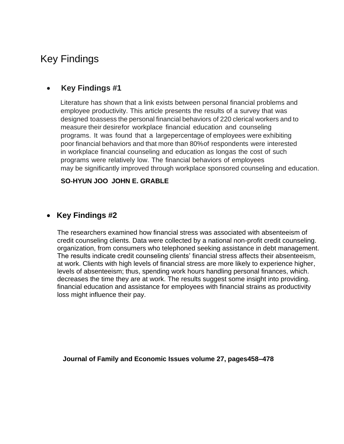### <span id="page-4-0"></span>Key Findings

### <span id="page-4-1"></span>• **Key Findings #1**

Literature has shown that a link exists between personal financial problems and employee productivity. This article presents the results of a survey that was designed toassess the personal financial behaviors of 220 clerical workers and to measure their desirefor workplace financial education and counseling programs. It was found that a largepercentage of employees were exhibiting poor financial behaviors and that more than 80%of respondents were interested in workplace financial counseling and education as longas the cost of such programs were relatively low. The financial behaviors of employees may be significantly improved through workplace sponsored counseling and education.

#### **SO**‐**HYUN JOO JOHN E. GRABLE**

### <span id="page-4-2"></span>• **Key Findings #2**

 The researchers examined how financial stress was associated with absenteeism of credit counseling clients. Data were collected by a national non-profit credit counseling. organization, from consumers who telephoned seeking assistance in debt management. The results indicate credit counseling clients' financial stress affects their absenteeism, at work. Clients with high levels of financial stress are more likely to experience higher, levels of absenteeism; thus, spending work hours handling personal finances, which. decreases the time they are at work. The results suggest some insight into providing. financial education and assistance for employees with financial strains as productivity loss might influence their pay.

<span id="page-4-3"></span> **Journal of Family and Economic Issues volume 27, pages458–478**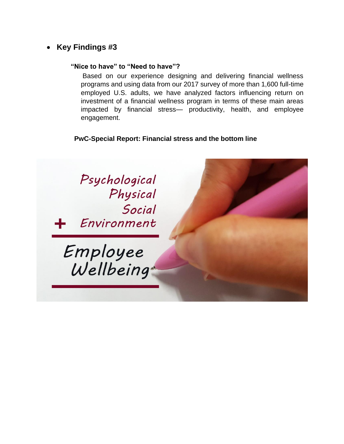### • **Key Findings #3**

#### **"Nice to have" to "Need to have"?**

Based on our experience designing and delivering financial wellness programs and using data from our 2017 survey of more than 1,600 full-time employed U.S. adults, we have analyzed factors influencing return on investment of a financial wellness program in terms of these main areas impacted by financial stress— productivity, health, and employee engagement.

### **PwC-Special Report: Financial stress and the bottom line**